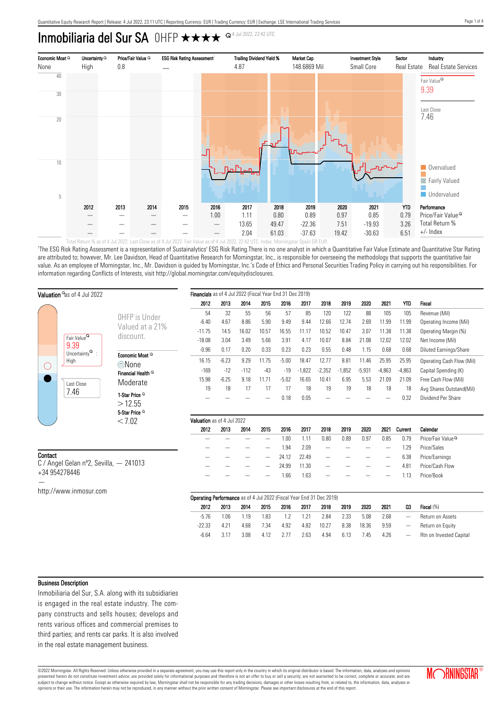# Inmobiliaria del Sur SA OHFP  $\star\star\star\star$ <sup>Q4 Jul 2022, 22:42 UTC</sup>



'The ESG Risk Rating Assessment is a representation of Sustainalytics' ESG Risk Rating.There is no one analyst in which a Quantitative Fair Value Estimate and Quantitative Star Rating are attributed to; however, Mr. Lee Davidson, Head of Quantitative Research for Morningstar, Inc., is responsible for overseeing the methodology that supports the quantitative fair value. As an employee of Morningstar, Inc., Mr. Davidson is guided by Morningstar, Inc.'s Code of Ethics and Personal Securities Trading Policy in carrying out his responsibilities. For information regarding Conflicts of Interests, visit http://global.morningstar.com/equitydisclosures.

| Valuation <sup>o</sup> as of 4 Jul 2022 |                                                                                                |                                        | Financials as of 4 Jul 2022 (Fiscal Year End 31 Dec 2019)                   |         |        |       |         |          |                 |          |          |          |                              |                               |
|-----------------------------------------|------------------------------------------------------------------------------------------------|----------------------------------------|-----------------------------------------------------------------------------|---------|--------|-------|---------|----------|-----------------|----------|----------|----------|------------------------------|-------------------------------|
|                                         |                                                                                                |                                        | 2012                                                                        | 2013    | 2014   | 2015  | 2016    | 2017     | 2018            | 2019     | 2020     | 2021     | <b>YTD</b>                   | <b>Fiscal</b>                 |
|                                         |                                                                                                | OHFP is Under                          | 54                                                                          | 32      | 55     | 56    | 57      | 85       | 120             | 122      | 88       | 105      | 105                          | Revenue (Mil)                 |
|                                         |                                                                                                |                                        | $-6.40$                                                                     | 4.67    | 8.86   | 5.90  | 9.49    | 9.44     | 12.66           | 12.74    | 2.69     | 11.99    | 11.99                        | Operating Income (Mil)        |
|                                         | Fair Value <sup>Q</sup><br>9.39<br>Uncertainty $^{\mathsf{Q}}$ :<br>High<br>Last Close<br>7.46 | Valued at a 21%                        | $-11.75$                                                                    | 14.5    | 16.02  | 10.57 | 16.55   | 11.17    | 10.52           | 10.47    | 3.07     | 11.38    | 11.38                        | Operating Margin (%)          |
|                                         |                                                                                                | discount.                              | $-18.08$                                                                    | 3.04    | 3.49   | 5.66  | 3.91    | 4.17     | 10.07           | 8.84     | 21.08    | 12.02    | 12.02                        | Net Income (Mil)              |
| U                                       |                                                                                                |                                        | $-0.96$                                                                     | 0.17    | 0.20   | 0.33  | 0.23    | 0.23     | 0.55            | 0.48     | 1.15     | 0.68     | 0.68                         | Diluted Earnings/Share        |
|                                         |                                                                                                | Economic Moat <sup>Q</sup>             | 16.15                                                                       | $-6.23$ | 9.29   | 11.75 | $-5.00$ | 18.47    | 12.77           | 8.81     | 11.46    | 25.95    | 25.95                        | Operating Cash Flow (Mil)     |
|                                         |                                                                                                | ©None<br>Financial Health <sup>Q</sup> | $-169$                                                                      | $-12$   | $-112$ | $-43$ | $-19$   | $-1,822$ | $-2,352$        | $-1,852$ | $-5,931$ | $-4,863$ | $-4,863$                     | Capital Spending (K)          |
|                                         |                                                                                                | Moderate                               | 15.98                                                                       | $-6.25$ | 9.18   | 11.71 | $-5.02$ | 16.65    | 10.41           | 6.95     | 5.53     | 21.09    | 21.09                        | Free Cash Flow (Mil)          |
|                                         |                                                                                                |                                        | 19                                                                          | 18      | 17     | 17    | 17      | 18       | 19              | 19       | 18       | 18       | 18                           | Avg Shares Outstand(Mil)      |
|                                         |                                                                                                | 1-Star Price <sup>Q</sup>              |                                                                             |         |        |       | 0.18    | 0.05     |                 |          |          |          | 0.32                         | Dividend Per Share            |
|                                         |                                                                                                | >12.55                                 |                                                                             |         |        |       |         |          |                 |          |          |          |                              |                               |
|                                         |                                                                                                | 5-Star Price <sup>Q</sup>              |                                                                             |         |        |       |         |          |                 |          |          |          |                              |                               |
| < 7.02                                  |                                                                                                | Valuation as of 4 Jul 2022             |                                                                             |         |        |       |         |          |                 |          |          |          |                              |                               |
|                                         |                                                                                                |                                        |                                                                             |         |        |       |         |          | 2018            | 2019     | 2020     | 2021     | Current                      | Calendar                      |
|                                         |                                                                                                |                                        | 2012                                                                        | 2013    | 2014   | 2015  | 2016    | 2017     |                 |          |          |          |                              |                               |
|                                         |                                                                                                |                                        |                                                                             |         |        |       | 1.00    | 1.11     | 0.80            | 0.89     | 0.97     | 0.85     | 0.79                         | Price/Fair Value <sup>Q</sup> |
|                                         |                                                                                                |                                        |                                                                             |         |        |       | 1.94    | 2.09     |                 |          |          | —        | 1.29                         | Price/Sales                   |
|                                         |                                                                                                |                                        |                                                                             |         |        |       | 24.12   | 22.49    | $\qquad \qquad$ |          |          | —        | 6.38                         | Price/Earnings                |
|                                         | C / Angel Gelan nº2, Sevilla, - 241013                                                         |                                        |                                                                             |         |        |       | 24.99   | 11.30    |                 |          |          |          | 4.81                         | Price/Cash Flow               |
| Contact                                 | +34 954278446                                                                                  |                                        |                                                                             |         |        |       | 1.66    | 1.63     |                 |          |          |          | 1.13                         | Price/Book                    |
|                                         |                                                                                                |                                        |                                                                             |         |        |       |         |          |                 |          |          |          |                              |                               |
|                                         | http://www.inmosur.com                                                                         |                                        | <b>Operating Performance</b> as of 4 Jul 2022 (Fiscal Year End 31 Dec 2019) |         |        |       |         |          |                 |          |          |          |                              |                               |
|                                         |                                                                                                |                                        | 2012                                                                        | 2013    | 2014   | 2015  | 2016    | 2017     | 2018            | 2019     | 2020     | 2021     | 03                           | Fiscal (%)                    |
|                                         |                                                                                                |                                        | $-5.76$                                                                     | 1.06    | 1.19   | 1.83  | 1.2     | 1.21     | 2.84            | 2.33     | 5.08     | 2.68     | $\overbrace{\qquad \qquad }$ | Return on Assets              |
|                                         |                                                                                                |                                        | $-22.33$                                                                    | 4.21    | 4.68   | 7.34  | 4.92    | 4.82     | 10.27           | 8.38     | 18.36    | 9.59     |                              | Return on Equity              |

#### Business Description

Inmobiliaria del Sur, S.A. along with its subsidiaries is engaged in the real estate industry. The company constructs and sells houses; develops and rents various offices and commercial premises to third parties; and rents car parks. It is also involved in the real estate management business.

©2022 Morningstar. All Rights Reserved. Unless otherwise provided in a separate agreement, you may use this report only in the country in which its original distributor is based. The information, data, analyses and opinions presented herein do not constitute investment advice; are provided solely for informational purposes and therefore is not an offer to buy or sell a security; are not warranted to be correct, complete or accurate; and are subject to change without notice. Except as otherwise required by law, Morningstar shall not be responsible for any trading decisions, damages or other losses resulting from, or related to, the information, data, analyses

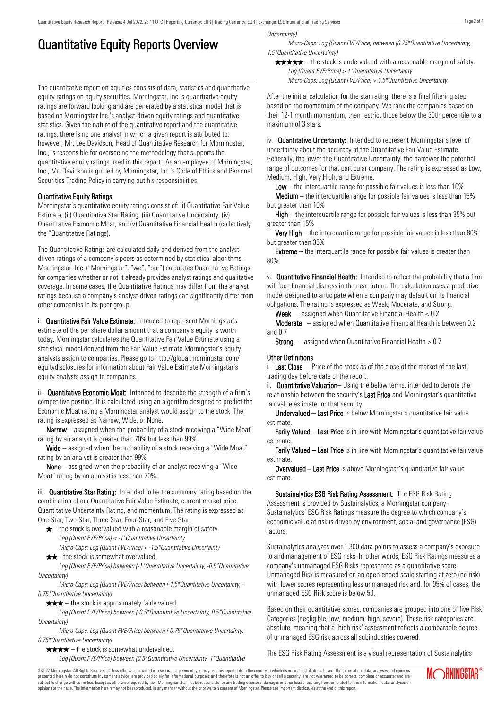## Quantitative Equity Reports Overview

The quantitative report on equities consists of data, statistics and quantitative equity ratings on equity securities. Morningstar, Inc.'s quantitative equity ratings are forward looking and are generated by a statistical model that is based on Morningstar Inc.'s analyst-driven equity ratings and quantitative statistics. Given the nature of the quantitative report and the quantitative ratings, there is no one analyst in which a given report is attributed to; however, Mr. Lee Davidson, Head of Quantitative Research for Morningstar, Inc., is responsible for overseeing the methodology that supports the quantitative equity ratings used in this report. As an employee of Morningstar, Inc., Mr. Davidson is guided by Morningstar, Inc.'s Code of Ethics and Personal Securities Trading Policy in carrying out his responsibilities.

### Quantitative Equity Ratings

Morningstar's quantitative equity ratings consist of: (i) Quantitative Fair Value Estimate, (ii) Quantitative Star Rating, (iii) Quantitative Uncertainty, (iv) Quantitative Economic Moat, and (v) Quantitative Financial Health (collectively the "Quantitative Ratings).

The Quantitative Ratings are calculated daily and derived from the analystdriven ratings of a company's peers as determined by statistical algorithms. Morningstar, Inc. ("Morningstar", "we", "our") calculates Quantitative Ratings for companies whether or not it already provides analyst ratings and qualitative coverage. In some cases, the Quantitative Ratings may differ from the analyst ratings because a company's analyst-driven ratings can significantly differ from other companies in its peer group.

i. **Quantitative Fair Value Estimate:** Intended to represent Morningstar's estimate of the per share dollar amount that a company's equity is worth today. Morningstar calculates the Quantitative Fair Value Estimate using a statistical model derived from the Fair Value Estimate Morningstar's equity analysts assign to companies. Please go to http://global.morningstar.com/ equitydisclosures for information about Fair Value Estimate Morningstar's equity analysts assign to companies.

ii. **Quantitative Economic Moat:** Intended to describe the strength of a firm's competitive position. It is calculated using an algorithm designed to predict the Economic Moat rating a Morningstar analyst would assign to the stock. The rating is expressed as Narrow, Wide, or None.

**Narrow** – assigned when the probability of a stock receiving a "Wide Moat" rating by an analyst is greater than 70% but less than 99%.

Wide – assigned when the probability of a stock receiving a "Wide Moat" rating by an analyst is greater than 99%.

None – assigned when the probability of an analyst receiving a "Wide Moat" rating by an analyst is less than 70%.

iii. **Quantitative Star Rating:** Intended to be the summary rating based on the combination of our Quantitative Fair Value Estimate, current market price, Quantitative Uncertainty Rating, and momentum. The rating is expressed as One-Star, Two-Star, Three-Star, Four-Star, and Five-Star.

- $\star$  the stock is overvalued with a reasonable margin of safety. Log (Quant FVE/Price) < -1\*Quantitative Uncertainty
- Micro-Caps: Log (Quant FVE/Price) < -1.5\*Quantitative Uncertainty  $\star \star$  - the stock is somewhat overvalued.

Log (Quant FVE/Price) between (-1\*Quantitative Uncertainty, -0.5\*Quantitative Uncertainty)

Micro-Caps: Log (Quant FVE/Price) between (-1.5\*Quantitative Uncertainty, - 0.75\*Quantitative Uncertainty)

 $\star \star \star$  – the stock is approximately fairly valued.

Log (Quant FVE/Price) between (-0.5\*Quantitative Uncertainty, 0.5\*Quantitative Uncertainty)

Micro-Caps: Log (Quant FVE/Price) between (-0.75\*Quantitative Uncertainty, 0.75\*Quantitative Uncertainty)

 $\star \star \star \star$  – the stock is somewhat undervalued.

Log (Quant FVE/Price) between (0.5\*Quantitative Uncertainty, 1\*Quantitative

Uncertainty)

Micro-Caps: Log (Quant FVE/Price) between (0.75\*Quantitative Uncertainty, 1.5\*Quantitative Uncertainty)

 $\star \star \star \star$  – the stock is undervalued with a reasonable margin of safety. Log (Quant FVE/Price) > 1\*Quantitative Uncertainty

Micro-Caps: Log (Quant FVE/Price) > 1.5\*Quantitative Uncertainty

After the initial calculation for the star rating, there is a final filtering step based on the momentum of the company. We rank the companies based on their 12-1 month momentum, then restrict those below the 30th percentile to a maximum of 3 stars.

iv. **Quantitative Uncertainty:** Intended to represent Morningstar's level of uncertainty about the accuracy of the Quantitative Fair Value Estimate. Generally, the lower the Quantitative Uncertainty, the narrower the potential range of outcomes for that particular company. The rating is expressed as Low, Medium, High, Very High, and Extreme.

**Low** – the interguartile range for possible fair values is less than  $10\%$ 

**Medium** – the interquartile range for possible fair values is less than  $15\%$ but greater than 10%

High – the interquartile range for possible fair values is less than 35% but greater than 15%

Very High – the interquartile range for possible fair values is less than 80% but greater than 35%

**Extreme** – the interquartile range for possible fair values is greater than 80%

v. Quantitative Financial Health: Intended to reflect the probability that a firm will face financial distress in the near future. The calculation uses a predictive model designed to anticipate when a company may default on its financial obligations. The rating is expressed as Weak, Moderate, and Strong.

**Weak**  $-$  assigned when Quantitative Financial Health  $< 0.2$ 

Moderate – assigned when Quantitative Financial Health is between 0.2 and 0.7

**Strong** – assigned when Quantitative Financial Health  $> 0.7$ 

#### Other Definitions

i. Last Close  $-$  Price of the stock as of the close of the market of the last trading day before date of the report.

ii. **Quantitative Valuation**– Using the below terms, intended to denote the relationship between the security's Last Price and Morningstar's quantitative fair value estimate for that security.

Undervalued – Last Price is below Morningstar's quantitative fair value estimate.

Farily Valued – Last Price is in line with Morningstar's quantitative fair value estimate.

Farily Valued – Last Price is in line with Morningstar's quantitative fair value estimate.

Overvalued – Last Price is above Morningstar's quantitative fair value estimate.

Sustainalytics ESG Risk Rating Assessment: The ESG Risk Rating Assessment is provided by Sustainalytics; a Morningstar company. Sustainalytics' ESG Risk Ratings measure the degree to which company's economic value at risk is driven by environment, social and governance (ESG) factors.

Sustainalytics analyzes over 1,300 data points to assess a company's exposure to and management of ESG risks. In other words, ESG Risk Ratings measures a company's unmanaged ESG Risks represented as a quantitative score. Unmanaged Risk is measured on an open-ended scale starting at zero (no risk) with lower scores representing less unmanaged risk and, for 95% of cases, the unmanaged ESG Risk score is below 50.

Based on their quantitative scores, companies are grouped into one of five Risk Categories (negligible, low, medium, high, severe). These risk categories are absolute, meaning that a 'high risk' assessment reflects a comparable degree of unmanaged ESG risk across all subindustries covered.

The ESG Risk Rating Assessment is a visual representation of Sustainalytics

©2022 Morningstar. All Rights Reserved. Unless otherwise provided in a separate agreement, you may use this report only in the country in which its original distributor is based. The information, data, analyses and opinions presented herein do not constitute investment advice; are provided solely for informational purposes and therefore is not an offer to buy or sell a security; are not warranted to be correct, complete or accurate; and are subject to change without notice. Except as otherwise required by law, Morningstar shall not be responsible for any trading decisions, damages or other losses resulting from, or related to, the information, data, analyses or opinions or their use. The information herein may not be reproduced, in any manner without the prior written consent of Morningstar. Please see important disclosures at the end of this report.

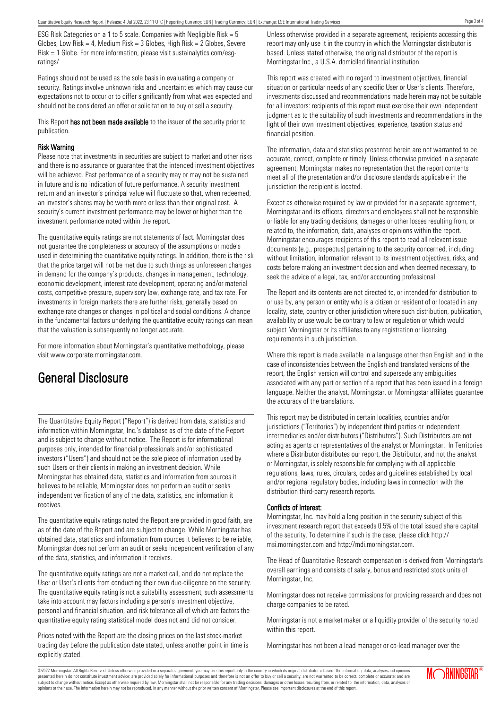ESG Risk Categories on a 1 to 5 scale. Companies with Negligible Risk = 5 Globes, Low Risk = 4, Medium Risk =  $3$  Globes, High Risk =  $2$  Globes, Severe Risk = 1 Globe. For more information, please visit sustainalytics.com/esgratings/

Ratings should not be used as the sole basis in evaluating a company or security. Ratings involve unknown risks and uncertainties which may cause our expectations not to occur or to differ significantly from what was expected and should not be considered an offer or solicitation to buy or sell a security.

This Report has not been made available to the issuer of the security prior to publication.

### Risk Warning

Please note that investments in securities are subject to market and other risks and there is no assurance or guarantee that the intended investment objectives will be achieved. Past performance of a security may or may not be sustained in future and is no indication of future performance. A security investment return and an investor's principal value will fluctuate so that, when redeemed, an investor's shares may be worth more or less than their original cost. A security's current investment performance may be lower or higher than the investment performance noted within the report.

The quantitative equity ratings are not statements of fact. Morningstar does not guarantee the completeness or accuracy of the assumptions or models used in determining the quantitative equity ratings. In addition, there is the risk that the price target will not be met due to such things as unforeseen changes in demand for the company's products, changes in management, technology, economic development, interest rate development, operating and/or material costs, competitive pressure, supervisory law, exchange rate, and tax rate. For investments in foreign markets there are further risks, generally based on exchange rate changes or changes in political and social conditions. A change in the fundamental factors underlying the quantitative equity ratings can mean that the valuation is subsequently no longer accurate.

For more information about Morningstar's quantitative methodology, please visit www.corporate.morningstar.com.

## General Disclosure

The Quantitative Equity Report ("Report") is derived from data, statistics and information within Morningstar, Inc.'s database as of the date of the Report and is subject to change without notice. The Report is for informational purposes only, intended for financial professionals and/or sophisticated investors ("Users") and should not be the sole piece of information used by such Users or their clients in making an investment decision. While Morningstar has obtained data, statistics and information from sources it believes to be reliable, Morningstar does not perform an audit or seeks independent verification of any of the data, statistics, and information it receives.

The quantitative equity ratings noted the Report are provided in good faith, are as of the date of the Report and are subject to change. While Morningstar has obtained data, statistics and information from sources it believes to be reliable, Morningstar does not perform an audit or seeks independent verification of any of the data, statistics, and information it receives.

The quantitative equity ratings are not a market call, and do not replace the User or User's clients from conducting their own due-diligence on the security. The quantitative equity rating is not a suitability assessment; such assessments take into account may factors including a person's investment objective, personal and financial situation, and risk tolerance all of which are factors the quantitative equity rating statistical model does not and did not consider.

Prices noted with the Report are the closing prices on the last stock-market trading day before the publication date stated, unless another point in time is explicitly stated.

Unless otherwise provided in a separate agreement, recipients accessing this report may only use it in the country in which the Morningstar distributor is based. Unless stated otherwise, the original distributor of the report is Morningstar Inc., a U.S.A. domiciled financial institution.

This report was created with no regard to investment objectives, financial situation or particular needs of any specific User or User's clients. Therefore, investments discussed and recommendations made herein may not be suitable for all investors: recipients of this report must exercise their own independent judgment as to the suitability of such investments and recommendations in the light of their own investment objectives, experience, taxation status and financial position.

The information, data and statistics presented herein are not warranted to be accurate, correct, complete or timely. Unless otherwise provided in a separate agreement, Morningstar makes no representation that the report contents meet all of the presentation and/or disclosure standards applicable in the jurisdiction the recipient is located.

Except as otherwise required by law or provided for in a separate agreement, Morningstar and its officers, directors and employees shall not be responsible or liable for any trading decisions, damages or other losses resulting from, or related to, the information, data, analyses or opinions within the report. Morningstar encourages recipients of this report to read all relevant issue documents (e.g., prospectus) pertaining to the security concerned, including without limitation, information relevant to its investment objectives, risks, and costs before making an investment decision and when deemed necessary, to seek the advice of a legal, tax, and/or accounting professional.

The Report and its contents are not directed to, or intended for distribution to or use by, any person or entity who is a citizen or resident of or located in any locality, state, country or other jurisdiction where such distribution, publication, availability or use would be contrary to law or regulation or which would subject Morningstar or its affiliates to any registration or licensing requirements in such jurisdiction.

Where this report is made available in a language other than English and in the case of inconsistencies between the English and translated versions of the report, the English version will control and supersede any ambiguities associated with any part or section of a report that has been issued in a foreign language. Neither the analyst, Morningstar, or Morningstar affiliates guarantee the accuracy of the translations.

This report may be distributed in certain localities, countries and/or jurisdictions ("Territories") by independent third parties or independent intermediaries and/or distributors ("Distributors"). Such Distributors are not acting as agents or representatives of the analyst or Morningstar. In Territories where a Distributor distributes our report, the Distributor, and not the analyst or Morningstar, is solely responsible for complying with all applicable regulations, laws, rules, circulars, codes and guidelines established by local and/or regional regulatory bodies, including laws in connection with the distribution third-party research reports.

## Conflicts of Interest:

Morningstar, Inc. may hold a long position in the security subject of this investment research report that exceeds 0.5% of the total issued share capital of the security. To determine if such is the case, please click http:// msi.morningstar.com and http://mdi.morningstar.com.

The Head of Quantitative Research compensation is derived from Morningstar's overall earnings and consists of salary, bonus and restricted stock units of Morningstar, Inc.

Morningstar does not receive commissions for providing research and does not charge companies to be rated.

Morningstar is not a market maker or a liquidity provider of the security noted within this report.

Morningstar has not been a lead manager or co-lead manager over the

Page 3 of 4

©2022 Morningstar. All Rights Reserved. Unless otherwise provided in a separate agreement, you may use this report only in the country in which its original distributor is based. The information, data, analyses and opinions presented herein do not constitute investment advice; are provided solely for informational purposes and therefore is not an offer to buy or sell a security; are not warranted to be correct, complete or accurate; and are subject to change without notice. Except as otherwise required by law, Morningstar shall not be responsible for any trading decisions, damages or other losses resulting from, or related to, the information, data, analyses or opinions or their use. The information herein may not be reproduced, in any manner without the prior written consent of Morningstar. Please see important disclosures at the end of this report.